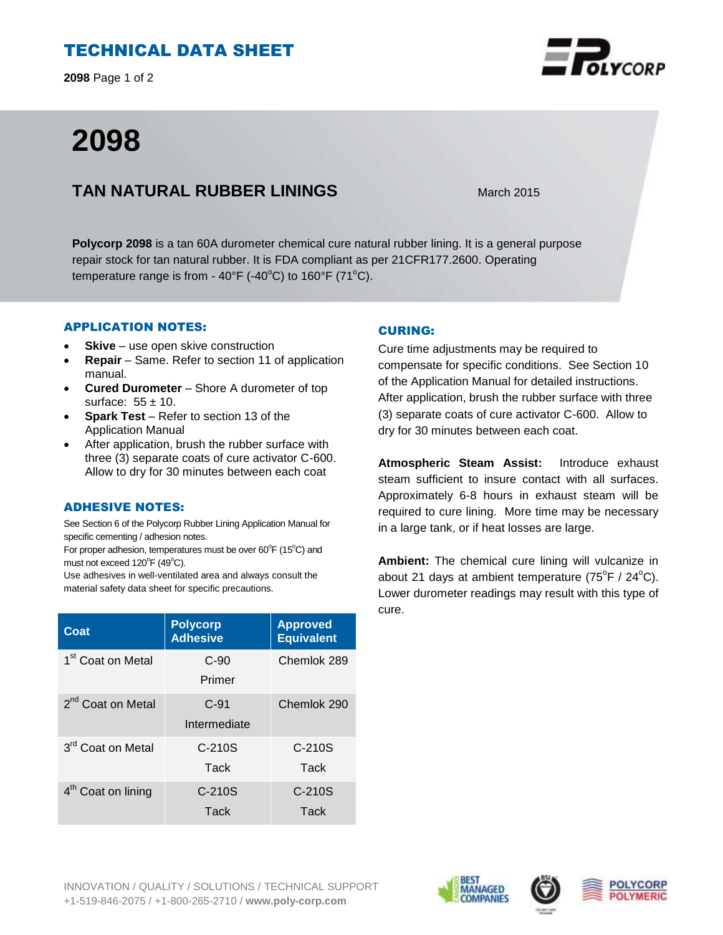# TECHNICAL DATA SHEET

**2098** Page 1 of 2

# **2098**

## **TAN NATURAL RUBBER LININGS** March 2015

**Polycorp 2098** is a tan 60A durometer chemical cure natural rubber lining. It is a general purpose repair stock for tan natural rubber. It is FDA compliant as per 21CFR177.2600. Operating temperature range is from -  $40^{\circ}F$  (- $40^{\circ}C$ ) to  $160^{\circ}F$  (71 $^{\circ}C$ ).

## APPLICATION NOTES:

- **Skive** use open skive construction
- **Repair**  Same. Refer to section 11 of application manual.
- **Cured Durometer**  Shore A durometer of top surface:  $55 \pm 10$ .
- **Spark Test**  Refer to section 13 of the Application Manual
- After application, brush the rubber surface with three (3) separate coats of cure activator C-600. Allow to dry for 30 minutes between each coat

#### ADHESIVE NOTES:

See Section 6 of the Polycorp Rubber Lining Application Manual for specific cementing / adhesion notes.

For proper adhesion, temperatures must be over 60°F (15°C) and must not exceed  $120^{\circ}$ F (49 $^{\circ}$ C).

Use adhesives in well-ventilated area and always consult the material safety data sheet for specific precautions.

| Coat                           | <b>Polycorp</b><br><b>Adhesive</b> | <b>Approved</b><br><b>Equivalent</b> |
|--------------------------------|------------------------------------|--------------------------------------|
| 1 <sup>st</sup> Coat on Metal  | $C-90$<br>Primer                   | Chemlok 289                          |
| 2 <sup>nd</sup> Coat on Metal  | $C-91$<br>Intermediate             | Chemlok 290                          |
| 3 <sup>rd</sup> Coat on Metal  | $C-210S$<br>Tack                   | $C-210S$<br>Tack                     |
| 4 <sup>th</sup> Coat on lining | $C-210S$<br>Tack                   | $C-210S$<br>Tack                     |

## CURING:

Cure time adjustments may be required to compensate for specific conditions. See Section 10 of the Application Manual for detailed instructions. After application, brush the rubber surface with three (3) separate coats of cure activator C-600. Allow to dry for 30 minutes between each coat.

**Atmospheric Steam Assist:** Introduce exhaust steam sufficient to insure contact with all surfaces. Approximately 6-8 hours in exhaust steam will be required to cure lining. More time may be necessary in a large tank, or if heat losses are large.

**Ambient:** The chemical cure lining will vulcanize in about 21 days at ambient temperature  $(75^{\circ}F / 24^{\circ}C)$ . Lower durometer readings may result with this type of cure.